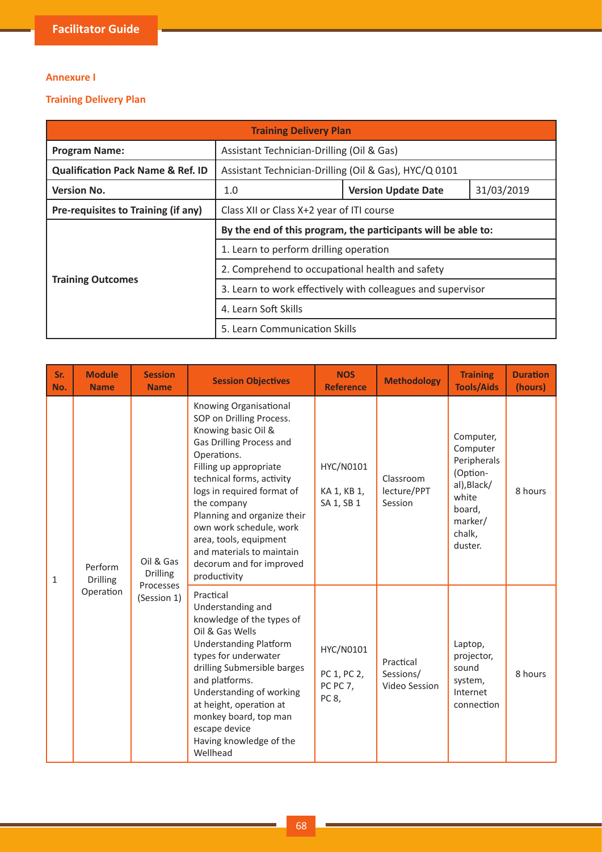## **Annexure I**

## **Training Delivery Plan**

| <b>Training Delivery Plan</b>                |                                                               |                                                             |            |  |  |  |
|----------------------------------------------|---------------------------------------------------------------|-------------------------------------------------------------|------------|--|--|--|
| <b>Program Name:</b>                         | Assistant Technician-Drilling (Oil & Gas)                     |                                                             |            |  |  |  |
| <b>Qualification Pack Name &amp; Ref. ID</b> | Assistant Technician-Drilling (Oil & Gas), HYC/Q 0101         |                                                             |            |  |  |  |
| <b>Version No.</b>                           | 1.0                                                           | <b>Version Update Date</b>                                  | 31/03/2019 |  |  |  |
| Pre-requisites to Training (if any)          | Class XII or Class X+2 year of ITI course                     |                                                             |            |  |  |  |
|                                              | By the end of this program, the participants will be able to: |                                                             |            |  |  |  |
|                                              | 1. Learn to perform drilling operation                        |                                                             |            |  |  |  |
|                                              | 2. Comprehend to occupational health and safety               |                                                             |            |  |  |  |
| <b>Training Outcomes</b>                     |                                                               | 3. Learn to work effectively with colleagues and supervisor |            |  |  |  |
|                                              | 4. Learn Soft Skills                                          |                                                             |            |  |  |  |
|                                              | 5. Learn Communication Skills                                 |                                                             |            |  |  |  |

| Sr.<br>No. | <b>Module</b><br><b>Name</b> | <b>Session</b><br><b>Name</b> | <b>Session Objectives</b>                                                                                                                                                                                                                                                                                                                                                             | <b>NOS</b><br><b>Reference</b>                | <b>Methodology</b>                      | <b>Training</b><br><b>Tools/Aids</b>                                                                               | <b>Duration</b><br>(hours) |
|------------|------------------------------|-------------------------------|---------------------------------------------------------------------------------------------------------------------------------------------------------------------------------------------------------------------------------------------------------------------------------------------------------------------------------------------------------------------------------------|-----------------------------------------------|-----------------------------------------|--------------------------------------------------------------------------------------------------------------------|----------------------------|
| 1          | Perform<br><b>Drilling</b>   | Oil & Gas<br><b>Drilling</b>  | Knowing Organisational<br>SOP on Drilling Process.<br>Knowing basic Oil &<br>Gas Drilling Process and<br>Operations.<br>Filling up appropriate<br>technical forms, activity<br>logs in required format of<br>the company<br>Planning and organize their<br>own work schedule, work<br>area, tools, equipment<br>and materials to maintain<br>decorum and for improved<br>productivity | HYC/N0101<br>KA 1, KB 1,<br>SA 1, SB 1        | Classroom<br>lecture/PPT<br>Session     | Computer,<br>Computer<br>Peripherals<br>(Option-<br>al), Black/<br>white<br>board,<br>marker/<br>chalk,<br>duster. | 8 hours                    |
|            | Operation                    | Processes<br>(Session 1)      | Practical<br>Understanding and<br>knowledge of the types of<br>Oil & Gas Wells<br><b>Understanding Platform</b><br>types for underwater<br>drilling Submersible barges<br>and platforms.<br>Understanding of working<br>at height, operation at<br>monkey board, top man<br>escape device<br>Having knowledge of the<br>Wellhead                                                      | HYC/N0101<br>PC 1, PC 2,<br>PC PC 7,<br>PC 8, | Practical<br>Sessions/<br>Video Session | Laptop,<br>projector,<br>sound<br>system,<br>Internet<br>connection                                                | 8 hours                    |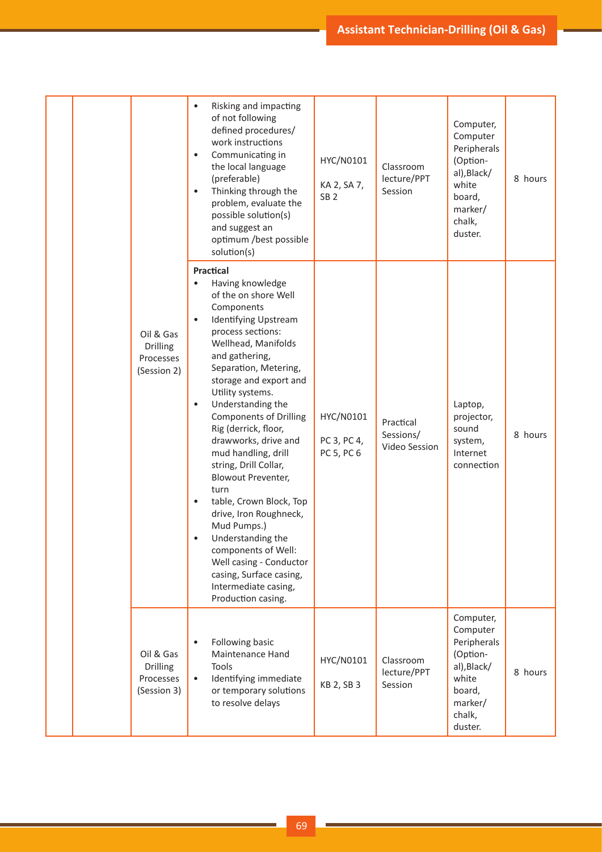|  |                                                          | Risking and impacting<br>of not following<br>defined procedures/<br>work instructions<br>Communicating in<br>$\bullet$<br>the local language<br>(preferable)<br>Thinking through the<br>$\bullet$<br>problem, evaluate the<br>possible solution(s)<br>and suggest an<br>optimum /best possible<br>solution(s)                                                                                                                                                                                                                                                                                                                                                                          | HYC/N0101<br>KA 2, SA 7,<br>SB <sub>2</sub> | Classroom<br>lecture/PPT<br>Session     | Computer,<br>Computer<br>Peripherals<br>(Option-<br>al), Black/<br>white<br>board,<br>marker/<br>chalk,<br>duster. | 8 hours |
|--|----------------------------------------------------------|----------------------------------------------------------------------------------------------------------------------------------------------------------------------------------------------------------------------------------------------------------------------------------------------------------------------------------------------------------------------------------------------------------------------------------------------------------------------------------------------------------------------------------------------------------------------------------------------------------------------------------------------------------------------------------------|---------------------------------------------|-----------------------------------------|--------------------------------------------------------------------------------------------------------------------|---------|
|  | Oil & Gas<br>Drilling<br>Processes<br>(Session 2)        | Practical<br>Having knowledge<br>of the on shore Well<br>Components<br>Identifying Upstream<br>$\bullet$<br>process sections:<br>Wellhead, Manifolds<br>and gathering,<br>Separation, Metering,<br>storage and export and<br>Utility systems.<br>Understanding the<br>$\bullet$<br><b>Components of Drilling</b><br>Rig (derrick, floor,<br>drawworks, drive and<br>mud handling, drill<br>string, Drill Collar,<br><b>Blowout Preventer,</b><br>turn<br>table, Crown Block, Top<br>drive, Iron Roughneck,<br>Mud Pumps.)<br>Understanding the<br>$\bullet$<br>components of Well:<br>Well casing - Conductor<br>casing, Surface casing,<br>Intermediate casing,<br>Production casing. | HYC/N0101<br>PC 3, PC 4,<br>PC 5, PC 6      | Practical<br>Sessions/<br>Video Session | Laptop,<br>projector,<br>sound<br>system,<br>Internet<br>connection                                                | 8 hours |
|  | Oil & Gas<br><b>Drilling</b><br>Processes<br>(Session 3) | Following basic<br>$\bullet$<br>Maintenance Hand<br>Tools<br>Identifying immediate<br>$\bullet$<br>or temporary solutions<br>to resolve delays                                                                                                                                                                                                                                                                                                                                                                                                                                                                                                                                         | HYC/N0101<br>KB 2, SB 3                     | Classroom<br>lecture/PPT<br>Session     | Computer,<br>Computer<br>Peripherals<br>(Option-<br>al), Black/<br>white<br>board,<br>marker/<br>chalk,<br>duster. | 8 hours |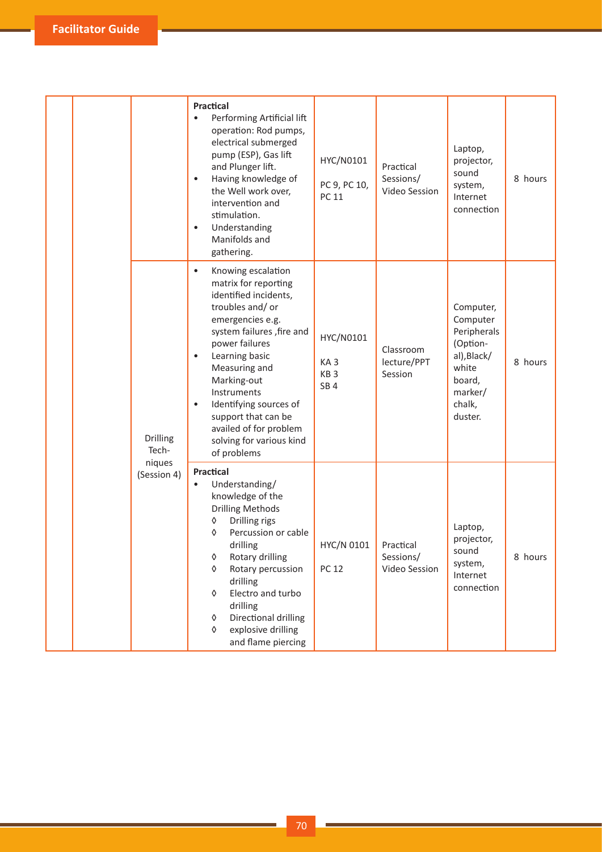|  |  |                          | Practical<br>Performing Artificial lift<br>$\bullet$<br>operation: Rod pumps,<br>electrical submerged<br>pump (ESP), Gas lift<br>and Plunger lift.<br>Having knowledge of<br>$\bullet$<br>the Well work over,<br>intervention and<br>stimulation.<br>Understanding<br>$\bullet$<br>Manifolds and<br>gathering.                                                                            | HYC/N0101<br>PC 9, PC 10,<br><b>PC 11</b>                          | Practical<br>Sessions/<br>Video Session | Laptop,<br>projector,<br>sound<br>system,<br>Internet<br>connection                                                | 8 hours |
|--|--|--------------------------|-------------------------------------------------------------------------------------------------------------------------------------------------------------------------------------------------------------------------------------------------------------------------------------------------------------------------------------------------------------------------------------------|--------------------------------------------------------------------|-----------------------------------------|--------------------------------------------------------------------------------------------------------------------|---------|
|  |  | <b>Drilling</b><br>Tech- | Knowing escalation<br>$\bullet$<br>matrix for reporting<br>identified incidents,<br>troubles and/ or<br>emergencies e.g.<br>system failures , fire and<br>power failures<br>Learning basic<br>$\bullet$<br>Measuring and<br>Marking-out<br>Instruments<br>Identifying sources of<br>$\bullet$<br>support that can be<br>availed of for problem<br>solving for various kind<br>of problems | HYC/N0101<br>KA <sub>3</sub><br>KB <sub>3</sub><br>SB <sub>4</sub> | Classroom<br>lecture/PPT<br>Session     | Computer,<br>Computer<br>Peripherals<br>(Option-<br>al), Black/<br>white<br>board,<br>marker/<br>chalk,<br>duster. | 8 hours |
|  |  | niques<br>(Session 4)    | Practical<br>Understanding/<br>$\bullet$<br>knowledge of the<br><b>Drilling Methods</b><br>Drilling rigs<br>♦<br>Percussion or cable<br>♦<br>drilling<br>Rotary drilling<br>♦<br>Rotary percussion<br>♦<br>drilling<br>Electro and turbo<br>♦<br>drilling<br>Directional drilling<br>♦<br>explosive drilling<br>♦<br>and flame piercing                                                   | HYC/N 0101<br><b>PC 12</b>                                         | Practical<br>Sessions/<br>Video Session | Laptop,<br>projector,<br>sound<br>system,<br>Internet<br>connection                                                | 8 hours |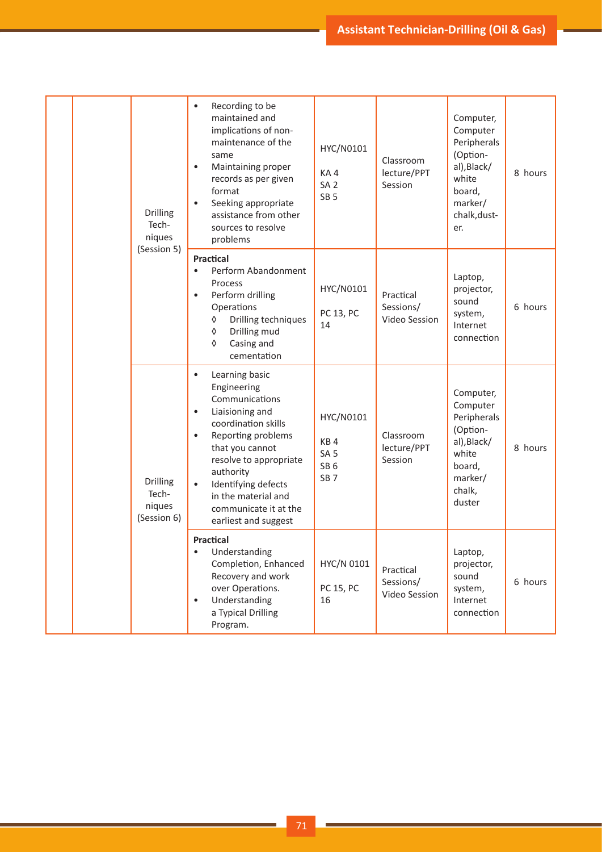|  | Drilling<br>Tech-<br>niques<br>(Session 5)        | Recording to be<br>$\bullet$<br>maintained and<br>implications of non-<br>maintenance of the<br>same<br>Maintaining proper<br>$\bullet$<br>records as per given<br>format<br>Seeking appropriate<br>$\bullet$<br>assistance from other<br>sources to resolve<br>problems                                                     | HYC/N0101<br>KA4<br>SA <sub>2</sub><br>SB <sub>5</sub>                    | Classroom<br>lecture/PPT<br>Session     | Computer,<br>Computer<br>Peripherals<br>(Option-<br>al), Black/<br>white<br>board,<br>marker/<br>chalk, dust-<br>er. | 8 hours |
|--|---------------------------------------------------|------------------------------------------------------------------------------------------------------------------------------------------------------------------------------------------------------------------------------------------------------------------------------------------------------------------------------|---------------------------------------------------------------------------|-----------------------------------------|----------------------------------------------------------------------------------------------------------------------|---------|
|  |                                                   | <b>Practical</b><br>Perform Abandonment<br>$\bullet$<br>Process<br>Perform drilling<br>$\bullet$<br>Operations<br>Drilling techniques<br>♦<br>Drilling mud<br>♦<br>Casing and<br>♦<br>cementation                                                                                                                            | HYC/N0101<br>PC 13, PC<br>14                                              | Practical<br>Sessions/<br>Video Session | Laptop,<br>projector,<br>sound<br>system,<br>Internet<br>connection                                                  | 6 hours |
|  | <b>Drilling</b><br>Tech-<br>niques<br>(Session 6) | Learning basic<br>$\bullet$<br>Engineering<br>Communications<br>Liaisioning and<br>$\bullet$<br>coordination skills<br>Reporting problems<br>$\bullet$<br>that you cannot<br>resolve to appropriate<br>authority<br>Identifying defects<br>$\bullet$<br>in the material and<br>communicate it at the<br>earliest and suggest | HYC/N0101<br>KB4<br>SA <sub>5</sub><br>SB <sub>6</sub><br>SB <sub>7</sub> | Classroom<br>lecture/PPT<br>Session     | Computer,<br>Computer<br>Peripherals<br>(Option-<br>al), Black/<br>white<br>board,<br>marker/<br>chalk,<br>duster    | 8 hours |
|  |                                                   | <b>Practical</b><br>Understanding<br>Completion, Enhanced<br>Recovery and work<br>over Operations.<br>Understanding<br>$\bullet$<br>a Typical Drilling<br>Program.                                                                                                                                                           | HYC/N 0101<br>PC 15, PC<br>16                                             | Practical<br>Sessions/<br>Video Session | Laptop,<br>projector,<br>sound<br>system,<br>Internet<br>connection                                                  | 6 hours |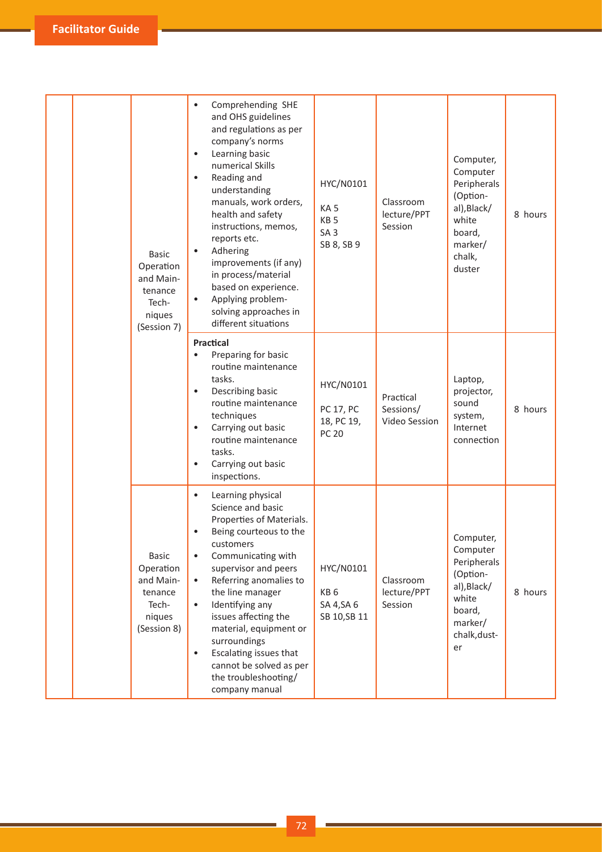| <b>Basic</b><br>Operation<br>and Main-<br>tenance<br>Tech-<br>niques<br>(Session 7) | Comprehending SHE<br>and OHS guidelines<br>and regulations as per<br>company's norms<br>Learning basic<br>$\bullet$<br>numerical Skills<br>Reading and<br>$\bullet$<br>understanding<br>manuals, work orders,<br>health and safety<br>instructions, memos,<br>reports etc.<br>Adhering<br>$\bullet$<br>improvements (if any)<br>in process/material<br>based on experience.<br>Applying problem-<br>$\bullet$<br>solving approaches in<br>different situations | HYC/N0101<br>KA <sub>5</sub><br>KB <sub>5</sub><br>SA <sub>3</sub><br>SB 8, SB 9 | Classroom<br>lecture/PPT<br>Session     | Computer,<br>Computer<br>Peripherals<br>(Option-<br>al), Black/<br>white<br>board,<br>marker/<br>chalk,<br>duster   | 8 hours |
|-------------------------------------------------------------------------------------|----------------------------------------------------------------------------------------------------------------------------------------------------------------------------------------------------------------------------------------------------------------------------------------------------------------------------------------------------------------------------------------------------------------------------------------------------------------|----------------------------------------------------------------------------------|-----------------------------------------|---------------------------------------------------------------------------------------------------------------------|---------|
|                                                                                     | Practical<br>Preparing for basic<br>$\bullet$<br>routine maintenance<br>tasks.<br>Describing basic<br>$\bullet$<br>routine maintenance<br>techniques<br>Carrying out basic<br>$\bullet$<br>routine maintenance<br>tasks.<br>Carrying out basic<br>$\bullet$<br>inspections.                                                                                                                                                                                    | HYC/N0101<br><b>PC 17, PC</b><br>18, PC 19,<br><b>PC 20</b>                      | Practical<br>Sessions/<br>Video Session | Laptop,<br>projector,<br>sound<br>system,<br>Internet<br>connection                                                 | 8 hours |
| <b>Basic</b><br>Operation<br>and Main-<br>tenance<br>Tech-<br>niques<br>(Session 8) | Learning physical<br>$\bullet$<br>Science and basic<br>Properties of Materials.<br>Being courteous to the<br>customers<br>Communicating with<br>$\bullet$<br>supervisor and peers<br>Referring anomalies to<br>$\bullet$<br>the line manager<br>Identifying any<br>$\bullet$<br>issues affecting the<br>material, equipment or<br>surroundings<br>Escalating issues that<br>$\bullet$<br>cannot be solved as per<br>the troubleshooting/<br>company manual     | HYC/N0101<br>KB <sub>6</sub><br>SA 4, SA 6<br>SB 10, SB 11                       | Classroom<br>lecture/PPT<br>Session     | Computer,<br>Computer<br>Peripherals<br>(Option-<br>al), Black/<br>white<br>board,<br>marker/<br>chalk, dust-<br>er | 8 hours |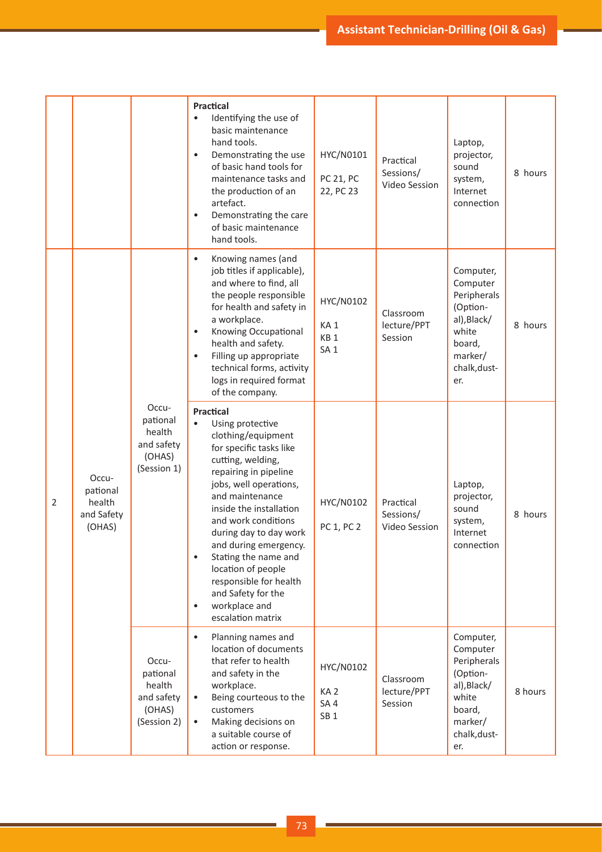|   |                                                     |                                                                    | <b>Practical</b><br>Identifying the use of<br>$\bullet$<br>basic maintenance<br>hand tools.<br>Demonstrating the use<br>$\bullet$<br>of basic hand tools for<br>maintenance tasks and<br>the production of an<br>artefact.<br>Demonstrating the care<br>$\bullet$<br>of basic maintenance<br>hand tools.                                                                                                           | HYC/N0101<br>PC 21, PC<br>22, PC 23                                | Practical<br>Sessions/<br>Video Session | Laptop,<br>projector,<br>sound<br>system,<br>Internet<br>connection                                                  | 8 hours |
|---|-----------------------------------------------------|--------------------------------------------------------------------|--------------------------------------------------------------------------------------------------------------------------------------------------------------------------------------------------------------------------------------------------------------------------------------------------------------------------------------------------------------------------------------------------------------------|--------------------------------------------------------------------|-----------------------------------------|----------------------------------------------------------------------------------------------------------------------|---------|
| 2 | Occu-<br>pational<br>health<br>and Safety<br>(OHAS) | Occu-<br>pational<br>health<br>and safety<br>(OHAS)<br>(Session 1) | Knowing names (and<br>$\bullet$<br>job titles if applicable),<br>and where to find, all<br>the people responsible<br>for health and safety in<br>a workplace.<br>Knowing Occupational<br>health and safety.<br>Filling up appropriate<br>$\bullet$<br>technical forms, activity<br>logs in required format<br>of the company.                                                                                      | HYC/N0102<br>KA <sub>1</sub><br>KB <sub>1</sub><br>SA <sub>1</sub> | Classroom<br>lecture/PPT<br>Session     | Computer,<br>Computer<br>Peripherals<br>(Option-<br>al), Black/<br>white<br>board,<br>marker/<br>chalk, dust-<br>er. | 8 hours |
|   |                                                     |                                                                    | Practical<br>Using protective<br>clothing/equipment<br>for specific tasks like<br>cutting, welding,<br>repairing in pipeline<br>jobs, well operations,<br>and maintenance<br>inside the installation<br>and work conditions<br>during day to day work<br>and during emergency.<br>Stating the name and<br>location of people<br>responsible for health<br>and Safety for the<br>workplace and<br>escalation matrix | HYC/N0102<br>PC 1, PC 2                                            | Practical<br>Sessions/<br>Video Session | Laptop,<br>projector,<br>sound<br>system,<br>Internet<br>connection                                                  | 8 hours |
|   |                                                     | Occu-<br>pational<br>health<br>and safety<br>(OHAS)<br>(Session 2) | Planning names and<br>$\bullet$<br>location of documents<br>that refer to health<br>and safety in the<br>workplace.<br>Being courteous to the<br>$\bullet$<br>customers<br>Making decisions on<br>$\bullet$<br>a suitable course of<br>action or response.                                                                                                                                                         | HYC/N0102<br>KA <sub>2</sub><br>SA4<br>SB <sub>1</sub>             | Classroom<br>lecture/PPT<br>Session     | Computer,<br>Computer<br>Peripherals<br>(Option-<br>al), Black/<br>white<br>board,<br>marker/<br>chalk, dust-<br>er. | 8 hours |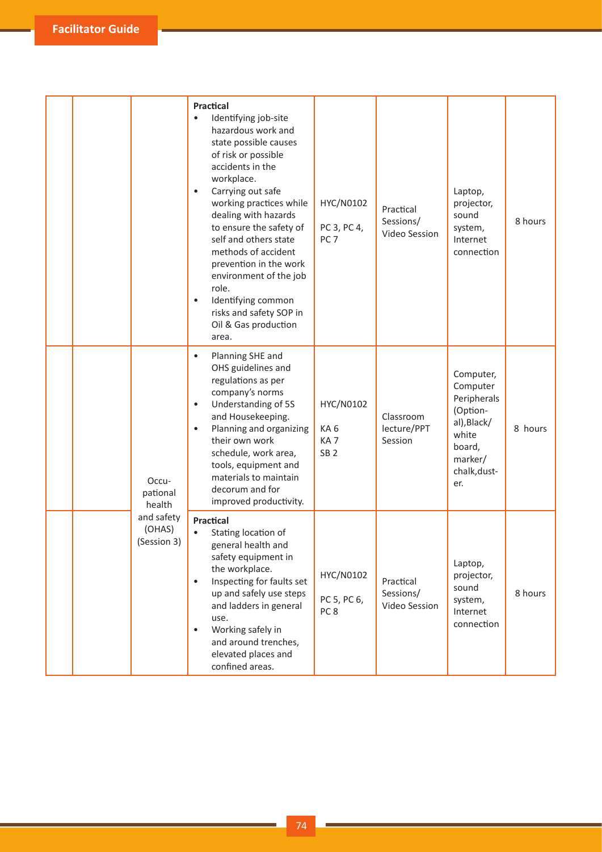|  |                                     | <b>Practical</b><br>Identifying job-site<br>hazardous work and<br>state possible causes<br>of risk or possible<br>accidents in the<br>workplace.<br>Carrying out safe<br>$\bullet$<br>working practices while<br>dealing with hazards<br>to ensure the safety of<br>self and others state<br>methods of accident<br>prevention in the work<br>environment of the job<br>role.<br>Identifying common<br>$\bullet$<br>risks and safety SOP in<br>Oil & Gas production<br>area. | HYC/N0102<br>PC 3, PC 4,<br>PC <sub>7</sub>            | Practical<br>Sessions/<br>Video Session | Laptop,<br>projector,<br>sound<br>system,<br>Internet<br>connection                                                  | 8 hours |
|--|-------------------------------------|------------------------------------------------------------------------------------------------------------------------------------------------------------------------------------------------------------------------------------------------------------------------------------------------------------------------------------------------------------------------------------------------------------------------------------------------------------------------------|--------------------------------------------------------|-----------------------------------------|----------------------------------------------------------------------------------------------------------------------|---------|
|  | Occu-<br>pational<br>health         | Planning SHE and<br>$\bullet$<br>OHS guidelines and<br>regulations as per<br>company's norms<br>Understanding of 5S<br>$\bullet$<br>and Housekeeping.<br>Planning and organizing<br>$\bullet$<br>their own work<br>schedule, work area,<br>tools, equipment and<br>materials to maintain<br>decorum and for<br>improved productivity.                                                                                                                                        | HYC/N0102<br>KA6<br>KA <sub>7</sub><br>SB <sub>2</sub> | Classroom<br>lecture/PPT<br>Session     | Computer,<br>Computer<br>Peripherals<br>(Option-<br>al), Black/<br>white<br>board,<br>marker/<br>chalk, dust-<br>er. | 8 hours |
|  | and safety<br>(OHAS)<br>(Session 3) | <b>Practical</b><br>Stating location of<br>general health and<br>safety equipment in<br>the workplace.<br>Inspecting for faults set<br>$\bullet$<br>up and safely use steps<br>and ladders in general<br>use.<br>Working safely in<br>$\bullet$<br>and around trenches,<br>elevated places and<br>confined areas.                                                                                                                                                            | HYC/N0102<br>PC 5, PC 6,<br>PC <sub>8</sub>            | Practical<br>Sessions/<br>Video Session | Laptop,<br>projector,<br>sound<br>system,<br>Internet<br>connection                                                  | 8 hours |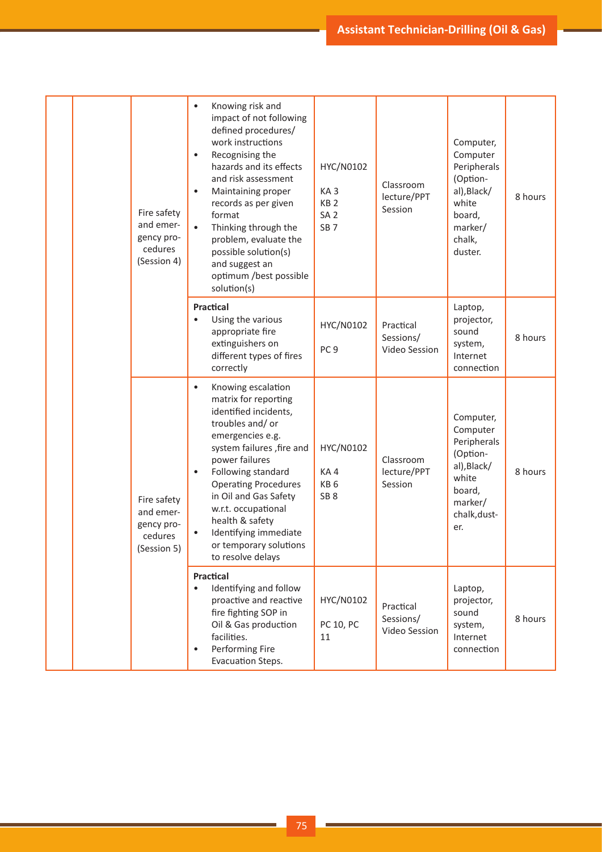|  | Fire safety<br>and emer-<br>gency pro-<br>cedures<br>(Session 4) | Knowing risk and<br>$\bullet$<br>impact of not following<br>defined procedures/<br>work instructions<br>Recognising the<br>$\bullet$<br>hazards and its effects<br>and risk assessment<br>Maintaining proper<br>$\bullet$<br>records as per given<br>format<br>Thinking through the<br>$\bullet$<br>problem, evaluate the<br>possible solution(s)<br>and suggest an<br>optimum /best possible<br>solution(s) | HYC/N0102<br>KA <sub>3</sub><br>KB <sub>2</sub><br>SA <sub>2</sub><br>SB <sub>7</sub> | Classroom<br>lecture/PPT<br>Session     | Computer,<br>Computer<br>Peripherals<br>(Option-<br>al), Black/<br>white<br>board,<br>marker/<br>chalk,<br>duster.   | 8 hours |
|--|------------------------------------------------------------------|--------------------------------------------------------------------------------------------------------------------------------------------------------------------------------------------------------------------------------------------------------------------------------------------------------------------------------------------------------------------------------------------------------------|---------------------------------------------------------------------------------------|-----------------------------------------|----------------------------------------------------------------------------------------------------------------------|---------|
|  |                                                                  | Practical<br>Using the various<br>$\bullet$<br>appropriate fire<br>extinguishers on<br>different types of fires<br>correctly                                                                                                                                                                                                                                                                                 | HYC/N0102<br>PC <sub>9</sub>                                                          | Practical<br>Sessions/<br>Video Session | Laptop,<br>projector,<br>sound<br>system,<br>Internet<br>connection                                                  | 8 hours |
|  | Fire safety<br>and emer-<br>gency pro-<br>cedures<br>(Session 5) | Knowing escalation<br>$\bullet$<br>matrix for reporting<br>identified incidents,<br>troubles and/or<br>emergencies e.g.<br>system failures , fire and<br>power failures<br>Following standard<br><b>Operating Procedures</b><br>in Oil and Gas Safety<br>w.r.t. occupational<br>health & safety<br>Identifying immediate<br>or temporary solutions<br>to resolve delays                                      | HYC/N0102<br>KA4<br>KB <sub>6</sub><br>SB <sub>8</sub>                                | Classroom<br>lecture/PPT<br>Session     | Computer,<br>Computer<br>Peripherals<br>(Option-<br>al), Black/<br>white<br>board,<br>marker/<br>chalk, dust-<br>er. | 8 hours |
|  |                                                                  | <b>Practical</b><br>Identifying and follow<br>$\bullet$<br>proactive and reactive<br>fire fighting SOP in<br>Oil & Gas production<br>facilities.<br>Performing Fire<br>$\bullet$<br>Evacuation Steps.                                                                                                                                                                                                        | HYC/N0102<br>PC 10, PC<br>11                                                          | Practical<br>Sessions/<br>Video Session | Laptop,<br>projector,<br>sound<br>system,<br>Internet<br>connection                                                  | 8 hours |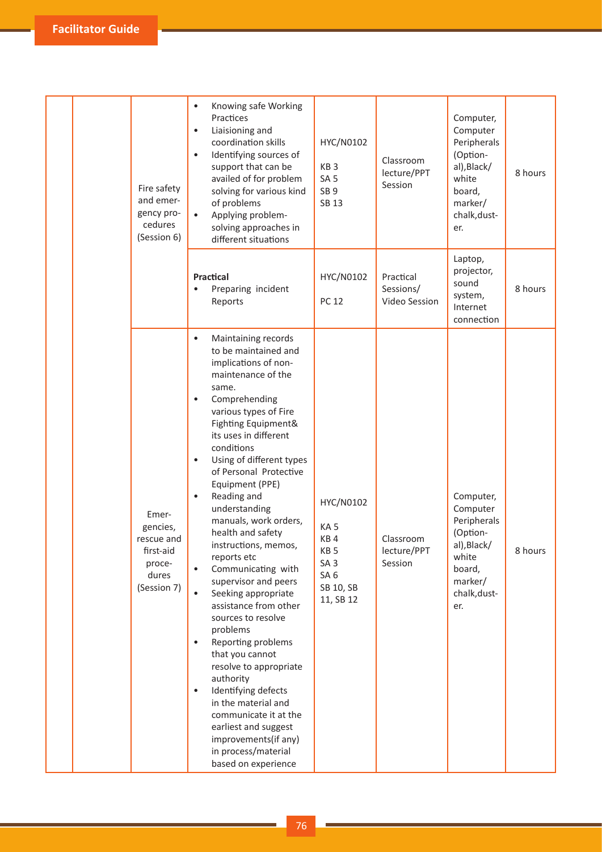|  | Fire safety<br>and emer-<br>gency pro-<br>cedures<br>(Session 6)               | Knowing safe Working<br>$\bullet$<br>Practices<br>Liaisioning and<br>$\bullet$<br>coordination skills<br>Identifying sources of<br>$\bullet$<br>support that can be<br>availed of for problem<br>solving for various kind<br>of problems<br>Applying problem-<br>solving approaches in<br>different situations                                                                                                                                                                                                                                                                                                                                                                                                                                                                                                                                                                           | HYC/N0102<br>KB <sub>3</sub><br>SA <sub>5</sub><br>SB <sub>9</sub><br><b>SB 13</b>                                     | Classroom<br>lecture/PPT<br>Session     | Computer,<br>Computer<br>Peripherals<br>(Option-<br>al), Black/<br>white<br>board,<br>marker/<br>chalk, dust-<br>er. | 8 hours |
|--|--------------------------------------------------------------------------------|------------------------------------------------------------------------------------------------------------------------------------------------------------------------------------------------------------------------------------------------------------------------------------------------------------------------------------------------------------------------------------------------------------------------------------------------------------------------------------------------------------------------------------------------------------------------------------------------------------------------------------------------------------------------------------------------------------------------------------------------------------------------------------------------------------------------------------------------------------------------------------------|------------------------------------------------------------------------------------------------------------------------|-----------------------------------------|----------------------------------------------------------------------------------------------------------------------|---------|
|  |                                                                                | Practical<br>Preparing incident<br>Reports                                                                                                                                                                                                                                                                                                                                                                                                                                                                                                                                                                                                                                                                                                                                                                                                                                               | HYC/N0102<br><b>PC 12</b>                                                                                              | Practical<br>Sessions/<br>Video Session | Laptop,<br>projector,<br>sound<br>system,<br>Internet<br>connection                                                  | 8 hours |
|  | Emer-<br>gencies,<br>rescue and<br>first-aid<br>proce-<br>dures<br>(Session 7) | Maintaining records<br>$\bullet$<br>to be maintained and<br>implications of non-<br>maintenance of the<br>same.<br>Comprehending<br>$\bullet$<br>various types of Fire<br>Fighting Equipment&<br>its uses in different<br>conditions<br>Using of different types<br>$\bullet$<br>of Personal Protective<br>Equipment (PPE)<br>Reading and<br>$\bullet$<br>understanding<br>manuals, work orders,<br>health and safety<br>instructions, memos,<br>reports etc<br>Communicating with<br>supervisor and peers<br>Seeking appropriate<br>$\bullet$<br>assistance from other<br>sources to resolve<br>problems<br>Reporting problems<br>$\bullet$<br>that you cannot<br>resolve to appropriate<br>authority<br>Identifying defects<br>$\bullet$<br>in the material and<br>communicate it at the<br>earliest and suggest<br>improvements(if any)<br>in process/material<br>based on experience | HYC/N0102<br>KA <sub>5</sub><br>KB4<br>KB <sub>5</sub><br>SA <sub>3</sub><br>SA <sub>6</sub><br>SB 10, SB<br>11, SB 12 | Classroom<br>lecture/PPT<br>Session     | Computer,<br>Computer<br>Peripherals<br>(Option-<br>al), Black/<br>white<br>board,<br>marker/<br>chalk, dust-<br>er. | 8 hours |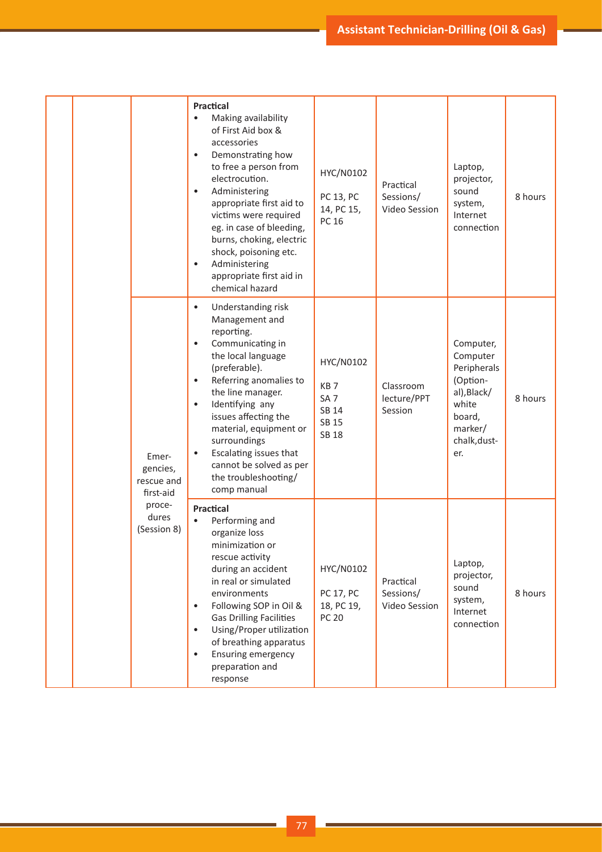|  |                                                                                | Practical<br>Making availability<br>$\bullet$<br>of First Aid box &<br>accessories<br>Demonstrating how<br>$\bullet$<br>to free a person from<br>electrocution.<br>Administering<br>$\bullet$<br>appropriate first aid to<br>victims were required<br>eg. in case of bleeding,<br>burns, choking, electric<br>shock, poisoning etc.<br>Administering<br>$\bullet$<br>appropriate first aid in<br>chemical hazard | HYC/N0102<br>PC 13, PC<br>14, PC 15,<br>PC 16                                     | Practical<br>Sessions/<br>Video Session | Laptop,<br>projector,<br>sound<br>system,<br>Internet<br>connection                                                  | 8 hours |
|--|--------------------------------------------------------------------------------|------------------------------------------------------------------------------------------------------------------------------------------------------------------------------------------------------------------------------------------------------------------------------------------------------------------------------------------------------------------------------------------------------------------|-----------------------------------------------------------------------------------|-----------------------------------------|----------------------------------------------------------------------------------------------------------------------|---------|
|  | Emer-<br>gencies,<br>rescue and<br>first-aid<br>proce-<br>dures<br>(Session 8) | Understanding risk<br>$\bullet$<br>Management and<br>reporting.<br>Communicating in<br>the local language<br>(preferable).<br>Referring anomalies to<br>the line manager.<br>Identifying any<br>$\bullet$<br>issues affecting the<br>material, equipment or<br>surroundings<br>Escalating issues that<br>cannot be solved as per<br>the troubleshooting/<br>comp manual                                          | HYC/N0102<br>KB <sub>7</sub><br>SA <sub>7</sub><br>SB 14<br>SB 15<br><b>SB 18</b> | Classroom<br>lecture/PPT<br>Session     | Computer,<br>Computer<br>Peripherals<br>(Option-<br>al), Black/<br>white<br>board,<br>marker/<br>chalk, dust-<br>er. | 8 hours |
|  |                                                                                | <b>Practical</b><br>Performing and<br>$\bullet$<br>organize loss<br>minimization or<br>rescue activity<br>during an accident<br>in real or simulated<br>environments<br>Following SOP in Oil &<br><b>Gas Drilling Facilities</b><br>Using/Proper utilization<br>of breathing apparatus<br>Ensuring emergency<br>preparation and<br>response                                                                      | HYC/N0102<br>PC 17, PC<br>18, PC 19,<br><b>PC 20</b>                              | Practical<br>Sessions/<br>Video Session | Laptop,<br>projector,<br>sound<br>system,<br>Internet<br>connection                                                  | 8 hours |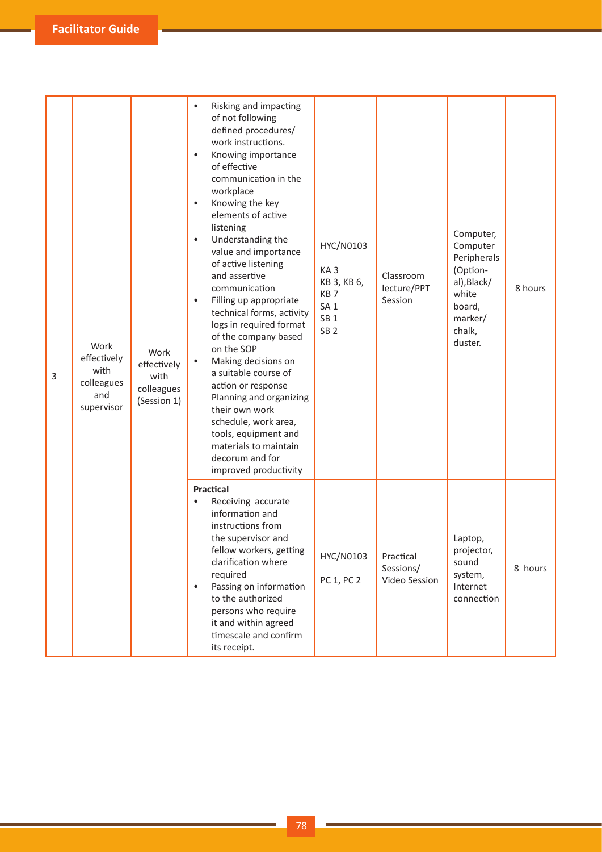| 3 | Work<br>effectively<br>with<br>colleagues<br>and<br>supervisor | Work<br>effectively<br>with<br>colleagues<br>(Session 1) | Risking and impacting<br>of not following<br>defined procedures/<br>work instructions.<br>Knowing importance<br>$\bullet$<br>of effective<br>communication in the<br>workplace<br>Knowing the key<br>$\bullet$<br>elements of active<br>listening<br>Understanding the<br>$\bullet$<br>value and importance<br>of active listening<br>and assertive<br>communication<br>Filling up appropriate<br>$\bullet$<br>technical forms, activity<br>logs in required format<br>of the company based<br>on the SOP<br>Making decisions on<br>$\bullet$<br>a suitable course of<br>action or response<br>Planning and organizing<br>their own work<br>schedule, work area,<br>tools, equipment and<br>materials to maintain<br>decorum and for<br>improved productivity | HYC/N0103<br>KA <sub>3</sub><br>KB 3, KB 6,<br>KB <sub>7</sub><br>SA <sub>1</sub><br>SB <sub>1</sub><br>SB <sub>2</sub> | Classroom<br>lecture/PPT<br>Session     | Computer,<br>Computer<br>Peripherals<br>(Option-<br>al), Black/<br>white<br>board,<br>marker/<br>chalk,<br>duster. | 8 hours |
|---|----------------------------------------------------------------|----------------------------------------------------------|---------------------------------------------------------------------------------------------------------------------------------------------------------------------------------------------------------------------------------------------------------------------------------------------------------------------------------------------------------------------------------------------------------------------------------------------------------------------------------------------------------------------------------------------------------------------------------------------------------------------------------------------------------------------------------------------------------------------------------------------------------------|-------------------------------------------------------------------------------------------------------------------------|-----------------------------------------|--------------------------------------------------------------------------------------------------------------------|---------|
|   |                                                                |                                                          | Practical<br>Receiving accurate<br>$\bullet$<br>information and<br>instructions from<br>the supervisor and<br>fellow workers, getting<br>clarification where<br>required<br>Passing on information<br>$\bullet$<br>to the authorized<br>persons who require<br>it and within agreed<br>timescale and confirm<br>its receipt.                                                                                                                                                                                                                                                                                                                                                                                                                                  | HYC/N0103<br>PC 1, PC 2                                                                                                 | Practical<br>Sessions/<br>Video Session | Laptop,<br>projector,<br>sound<br>system,<br>Internet<br>connection                                                | 8 hours |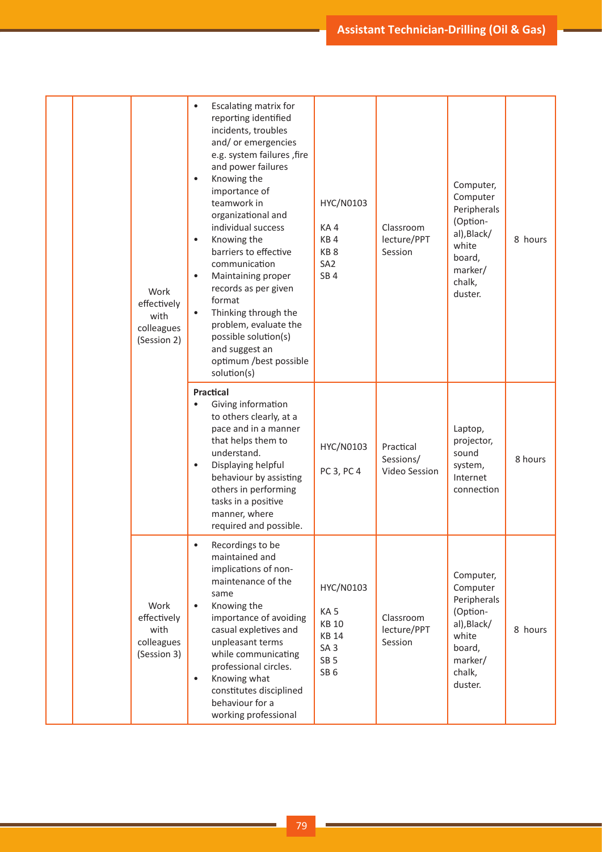|  |  | Work<br>effectively<br>with<br>colleagues<br>(Session 2) | Escalating matrix for<br>$\bullet$<br>reporting identified<br>incidents, troubles<br>and/or emergencies<br>e.g. system failures , fire<br>and power failures<br>Knowing the<br>$\bullet$<br>importance of<br>teamwork in<br>organizational and<br>individual success<br>Knowing the<br>$\bullet$<br>barriers to effective<br>communication<br>Maintaining proper<br>$\bullet$<br>records as per given<br>format<br>Thinking through the<br>$\bullet$<br>problem, evaluate the<br>possible solution(s)<br>and suggest an<br>optimum /best possible<br>solution(s) | HYC/N0103<br>KA4<br>KB <sub>4</sub><br>KB <sub>8</sub><br>SA <sub>2</sub><br>SB <sub>4</sub>                          | Classroom<br>lecture/PPT<br>Session     | Computer,<br>Computer<br>Peripherals<br>(Option-<br>al), Black/<br>white<br>board,<br>marker/<br>chalk,<br>duster. | 8 hours |
|--|--|----------------------------------------------------------|------------------------------------------------------------------------------------------------------------------------------------------------------------------------------------------------------------------------------------------------------------------------------------------------------------------------------------------------------------------------------------------------------------------------------------------------------------------------------------------------------------------------------------------------------------------|-----------------------------------------------------------------------------------------------------------------------|-----------------------------------------|--------------------------------------------------------------------------------------------------------------------|---------|
|  |  |                                                          | <b>Practical</b><br>Giving information<br>to others clearly, at a<br>pace and in a manner<br>that helps them to<br>understand.<br>Displaying helpful<br>$\bullet$<br>behaviour by assisting<br>others in performing<br>tasks in a positive<br>manner, where<br>required and possible.                                                                                                                                                                                                                                                                            | HYC/N0103<br>PC 3, PC 4                                                                                               | Practical<br>Sessions/<br>Video Session | Laptop,<br>projector,<br>sound<br>system,<br>Internet<br>connection                                                | 8 hours |
|  |  | Work<br>effectively<br>with<br>colleagues<br>(Session 3) | Recordings to be<br>٠<br>maintained and<br>implications of non-<br>maintenance of the<br>same<br>Knowing the<br>$\bullet$<br>importance of avoiding<br>casual expletives and<br>unpleasant terms<br>while communicating<br>professional circles.<br>Knowing what<br>$\bullet$<br>constitutes disciplined<br>behaviour for a<br>working professional                                                                                                                                                                                                              | HYC/N0103<br>KA <sub>5</sub><br><b>KB 10</b><br><b>KB 14</b><br>SA <sub>3</sub><br>SB <sub>5</sub><br>SB <sub>6</sub> | Classroom<br>lecture/PPT<br>Session     | Computer,<br>Computer<br>Peripherals<br>(Option-<br>al), Black/<br>white<br>board,<br>marker/<br>chalk,<br>duster. | 8 hours |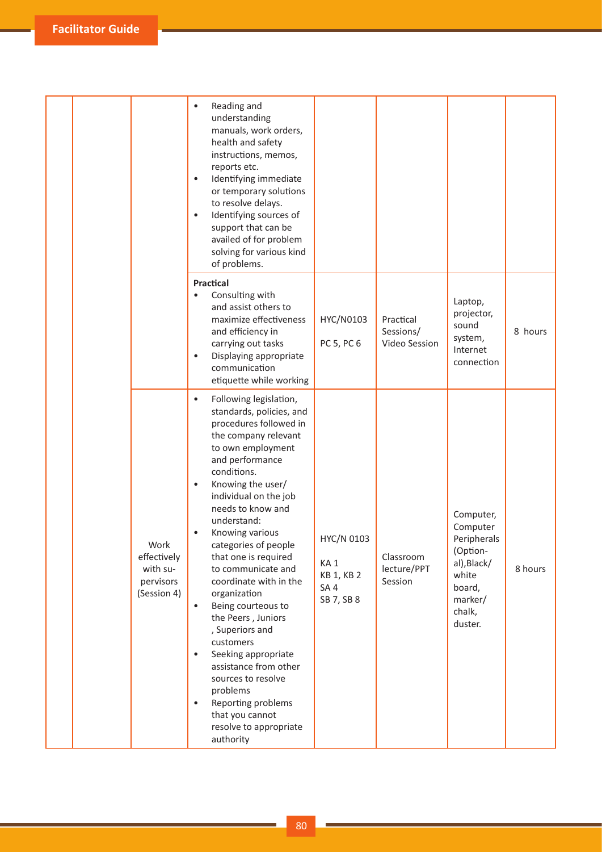|  |                                                             | Reading and<br>understanding<br>manuals, work orders,<br>health and safety<br>instructions, memos,<br>reports etc.<br>Identifying immediate<br>or temporary solutions<br>to resolve delays.<br>Identifying sources of<br>$\bullet$<br>support that can be<br>availed of for problem<br>solving for various kind<br>of problems.                                                                                                                                                                                                                                                                                                                                                                 |                                                                  |                                         |                                                                                                                    |         |
|--|-------------------------------------------------------------|-------------------------------------------------------------------------------------------------------------------------------------------------------------------------------------------------------------------------------------------------------------------------------------------------------------------------------------------------------------------------------------------------------------------------------------------------------------------------------------------------------------------------------------------------------------------------------------------------------------------------------------------------------------------------------------------------|------------------------------------------------------------------|-----------------------------------------|--------------------------------------------------------------------------------------------------------------------|---------|
|  |                                                             | <b>Practical</b><br>Consulting with<br>and assist others to<br>maximize effectiveness<br>and efficiency in<br>carrying out tasks<br>Displaying appropriate<br>communication<br>etiquette while working                                                                                                                                                                                                                                                                                                                                                                                                                                                                                          | HYC/N0103<br>PC 5, PC 6                                          | Practical<br>Sessions/<br>Video Session | Laptop,<br>projector,<br>sound<br>system,<br>Internet<br>connection                                                | 8 hours |
|  | Work<br>effectively<br>with su-<br>pervisors<br>(Session 4) | Following legislation,<br>$\bullet$<br>standards, policies, and<br>procedures followed in<br>the company relevant<br>to own employment<br>and performance<br>conditions.<br>Knowing the user/<br>$\bullet$<br>individual on the job<br>needs to know and<br>understand:<br>Knowing various<br>categories of people<br>that one is required<br>to communicate and<br>coordinate with in the<br>organization<br>Being courteous to<br>$\bullet$<br>the Peers, Juniors<br>, Superiors and<br>customers<br>Seeking appropriate<br>$\bullet$<br>assistance from other<br>sources to resolve<br>problems<br>Reporting problems<br>$\bullet$<br>that you cannot<br>resolve to appropriate<br>authority | HYC/N 0103<br>KA <sub>1</sub><br>KB 1, KB 2<br>SA4<br>SB 7, SB 8 | Classroom<br>lecture/PPT<br>Session     | Computer,<br>Computer<br>Peripherals<br>(Option-<br>al), Black/<br>white<br>board,<br>marker/<br>chalk,<br>duster. | 8 hours |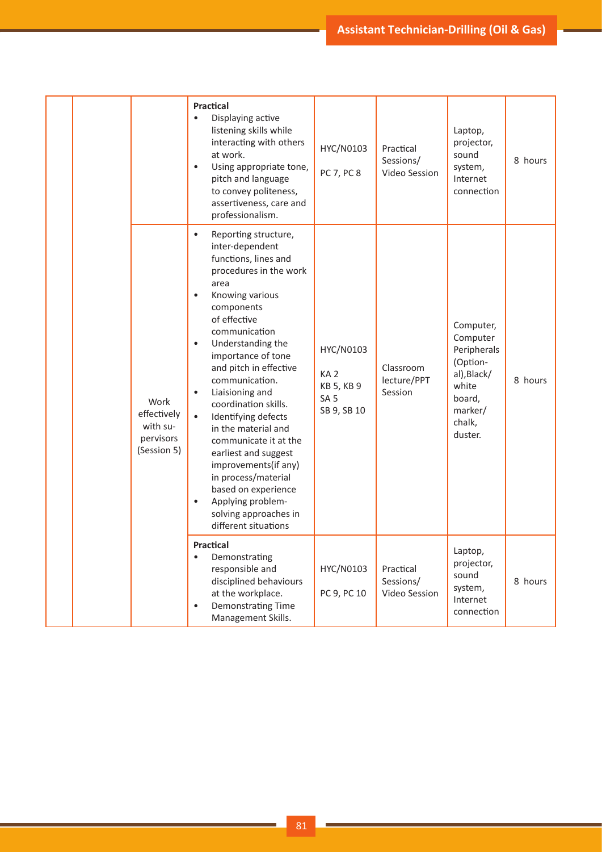|  |                                                             | Practical<br>Displaying active<br>$\bullet$<br>listening skills while<br>interacting with others<br>at work.<br>Using appropriate tone,<br>$\bullet$<br>pitch and language<br>to convey politeness,<br>assertiveness, care and<br>professionalism.                                                                                                                                                                                                                                                                                                                         | HYC/N0103<br>PC 7, PC 8                                                      | Practical<br>Sessions/<br>Video Session | Laptop,<br>projector,<br>sound<br>system,<br>Internet<br>connection                                                | 8 hours |
|--|-------------------------------------------------------------|----------------------------------------------------------------------------------------------------------------------------------------------------------------------------------------------------------------------------------------------------------------------------------------------------------------------------------------------------------------------------------------------------------------------------------------------------------------------------------------------------------------------------------------------------------------------------|------------------------------------------------------------------------------|-----------------------------------------|--------------------------------------------------------------------------------------------------------------------|---------|
|  | Work<br>effectively<br>with su-<br>pervisors<br>(Session 5) | Reporting structure,<br>$\bullet$<br>inter-dependent<br>functions, lines and<br>procedures in the work<br>area<br>Knowing various<br>components<br>of effective<br>communication<br>Understanding the<br>$\bullet$<br>importance of tone<br>and pitch in effective<br>communication.<br>Liaisioning and<br>coordination skills.<br>Identifying defects<br>in the material and<br>communicate it at the<br>earliest and suggest<br>improvements(if any)<br>in process/material<br>based on experience<br>Applying problem-<br>solving approaches in<br>different situations | HYC/N0103<br>KA <sub>2</sub><br>KB 5, KB 9<br>SA <sub>5</sub><br>SB 9, SB 10 | Classroom<br>lecture/PPT<br>Session     | Computer,<br>Computer<br>Peripherals<br>(Option-<br>al), Black/<br>white<br>board,<br>marker/<br>chalk,<br>duster. | 8 hours |
|  |                                                             | <b>Practical</b><br>Demonstrating<br>$\bullet$<br>responsible and<br>disciplined behaviours<br>at the workplace.<br>Demonstrating Time<br>Management Skills.                                                                                                                                                                                                                                                                                                                                                                                                               | HYC/N0103<br>PC 9, PC 10                                                     | Practical<br>Sessions/<br>Video Session | Laptop,<br>projector,<br>sound<br>system,<br>Internet<br>connection                                                | 8 hours |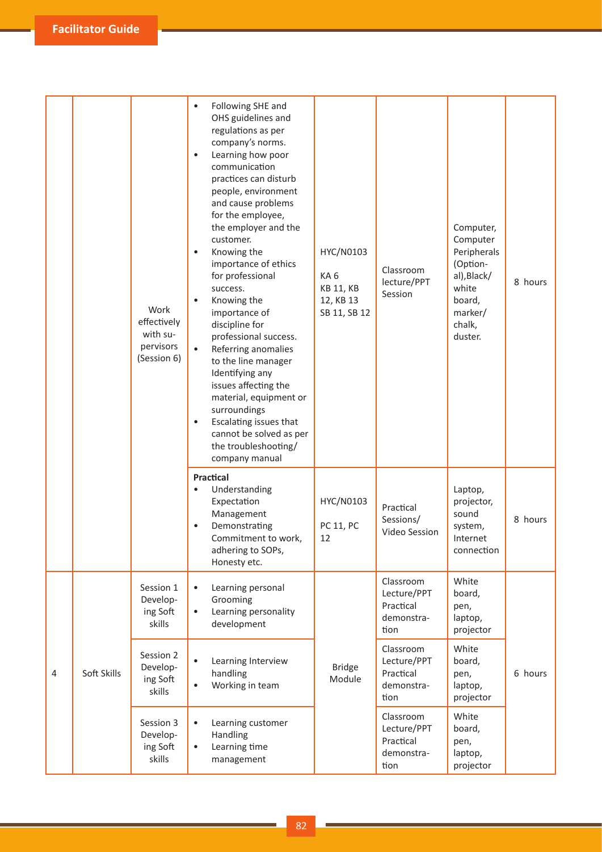|   |             | Work<br>effectively<br>with su-<br>pervisors<br>(Session 6)                                                                                                            | Following SHE and<br>$\bullet$<br>OHS guidelines and<br>regulations as per<br>company's norms.<br>Learning how poor<br>$\bullet$<br>communication<br>practices can disturb<br>people, environment<br>and cause problems<br>for the employee,<br>the employer and the<br>customer.<br>Knowing the<br>$\bullet$<br>importance of ethics<br>for professional<br>success.<br>Knowing the<br>$\bullet$<br>importance of<br>discipline for<br>professional success.<br>Referring anomalies<br>$\bullet$<br>to the line manager<br>Identifying any<br>issues affecting the<br>material, equipment or<br>surroundings<br>Escalating issues that<br>$\bullet$<br>cannot be solved as per<br>the troubleshooting/<br>company manual | HYC/N0103<br>KA6<br><b>KB 11, KB</b><br>12, KB 13<br>SB 11, SB 12 | Classroom<br>lecture/PPT<br>Session                         | Computer,<br>Computer<br>Peripherals<br>(Option-<br>al), Black/<br>white<br>board,<br>marker/<br>chalk,<br>duster. | 8 hours |
|---|-------------|------------------------------------------------------------------------------------------------------------------------------------------------------------------------|---------------------------------------------------------------------------------------------------------------------------------------------------------------------------------------------------------------------------------------------------------------------------------------------------------------------------------------------------------------------------------------------------------------------------------------------------------------------------------------------------------------------------------------------------------------------------------------------------------------------------------------------------------------------------------------------------------------------------|-------------------------------------------------------------------|-------------------------------------------------------------|--------------------------------------------------------------------------------------------------------------------|---------|
|   |             |                                                                                                                                                                        | Practical<br>Understanding<br>$\bullet$<br>Expectation<br>Management<br>Demonstrating<br>Commitment to work,<br>adhering to SOPs,<br>Honesty etc.                                                                                                                                                                                                                                                                                                                                                                                                                                                                                                                                                                         | HYC/N0103<br><b>PC 11, PC</b><br>12                               | Practical<br>Sessions/<br>Video Session                     | Laptop,<br>projector,<br>sound<br>system,<br>Internet<br>connection                                                | 8 hours |
| 4 | Soft Skills | Session 1<br>$\bullet$<br>Grooming<br>Develop-<br>ing Soft<br>$\bullet$<br>skills<br>Session 2<br>$\bullet$<br>Develop-<br>handling<br>ing Soft<br>$\bullet$<br>skills | Learning personal<br>Learning personality<br>development                                                                                                                                                                                                                                                                                                                                                                                                                                                                                                                                                                                                                                                                  |                                                                   | Classroom<br>Lecture/PPT<br>Practical<br>demonstra-<br>tion | White<br>board,<br>pen,<br>laptop,<br>projector                                                                    |         |
|   |             |                                                                                                                                                                        | Learning Interview<br>Working in team                                                                                                                                                                                                                                                                                                                                                                                                                                                                                                                                                                                                                                                                                     | <b>Bridge</b><br>Module                                           | Classroom<br>Lecture/PPT<br>Practical<br>demonstra-<br>tion | White<br>board,<br>pen,<br>laptop,<br>projector                                                                    | 6 hours |
|   |             | Session 3<br>Develop-<br>ing Soft<br>skills                                                                                                                            | Learning customer<br>Handling<br>Learning time<br>$\bullet$<br>management                                                                                                                                                                                                                                                                                                                                                                                                                                                                                                                                                                                                                                                 |                                                                   | Classroom<br>Lecture/PPT<br>Practical<br>demonstra-<br>tion | White<br>board,<br>pen,<br>laptop,<br>projector                                                                    |         |